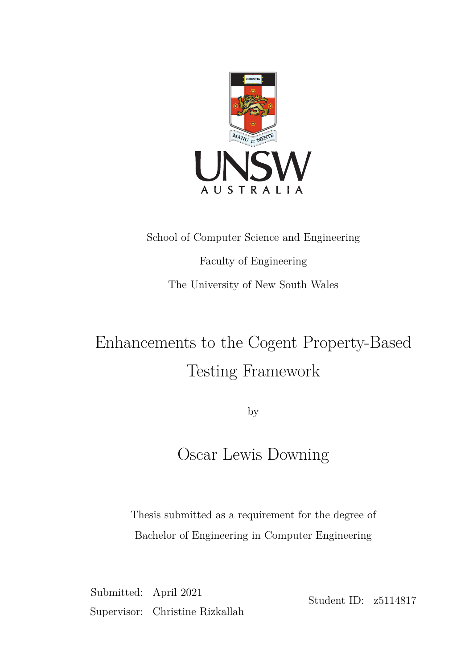

# School of Computer Science and Engineering Faculty of Engineering The University of New South Wales

# Enhancements to the Cogent Property-Based Testing Framework

by

## Oscar Lewis Downing

Thesis submitted as a requirement for the degree of Bachelor of Engineering in Computer Engineering

Submitted: April 2021 Supervisor: Christine Rizkallah

Student ID: z5114817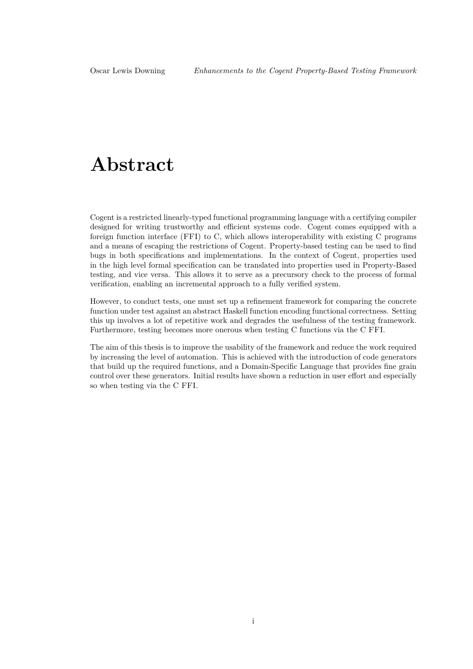## **Abstract**

Cogent is a restricted linearly-typed functional programming language with a certifying compiler designed for writing trustworthy and efficient systems code. Cogent comes equipped with a foreign function interface (FFI) to C, which allows interoperability with existing C programs and a means of escaping the restrictions of Cogent. Property-based testing can be used to find bugs in both specifications and implementations. In the context of Cogent, properties used in the high level formal specification can be translated into properties used in Property-Based testing, and vice versa. This allows it to serve as a precursory check to the process of formal verification, enabling an incremental approach to a fully verified system.

However, to conduct tests, one must set up a refinement framework for comparing the concrete function under test against an abstract Haskell function encoding functional correctness. Setting this up involves a lot of repetitive work and degrades the usefulness of the testing framework. Furthermore, testing becomes more onerous when testing C functions via the C FFI.

The aim of this thesis is to improve the usability of the framework and reduce the work required by increasing the level of automation. This is achieved with the introduction of code generators that build up the required functions, and a Domain-Specific Language that provides fine grain control over these generators. Initial results have shown a reduction in user effort and especially so when testing via the C FFI.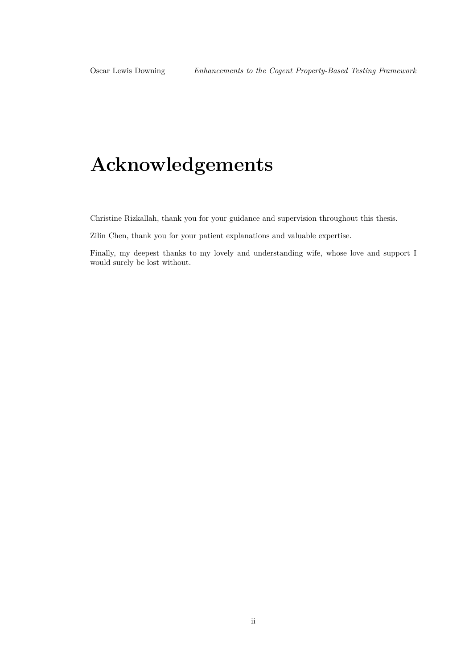# **Acknowledgements**

Christine Rizkallah, thank you for your guidance and supervision throughout this thesis.

Zilin Chen, thank you for your patient explanations and valuable expertise.

Finally, my deepest thanks to my lovely and understanding wife, whose love and support I would surely be lost without.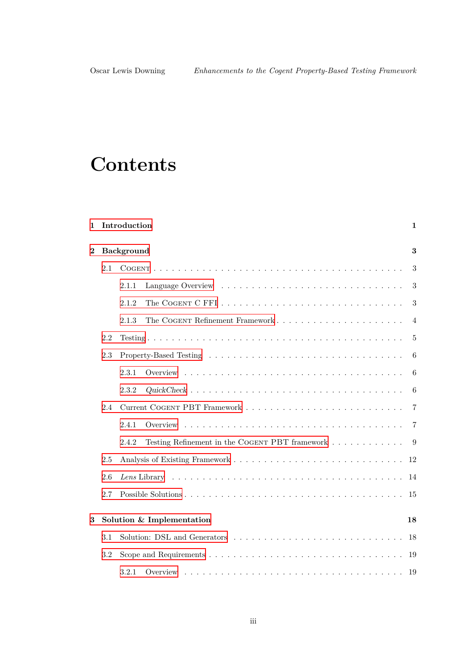# **Contents**

| $\mathbf{1}$   |         | Introduction<br>1                                                                |                |  |  |  |
|----------------|---------|----------------------------------------------------------------------------------|----------------|--|--|--|
| $\overline{2}$ |         | Background                                                                       | 3              |  |  |  |
|                | 2.1     |                                                                                  | 3              |  |  |  |
|                |         | 2.1.1                                                                            | 3              |  |  |  |
|                |         | 2.1.2                                                                            | 3              |  |  |  |
|                |         | 2.1.3                                                                            | $\overline{4}$ |  |  |  |
|                | 2.2     |                                                                                  | 5              |  |  |  |
|                | 2.3     |                                                                                  | 6              |  |  |  |
|                |         | 2.3.1                                                                            | 6              |  |  |  |
|                |         | 2.3.2                                                                            | 6              |  |  |  |
|                | 2.4     |                                                                                  | $\overline{7}$ |  |  |  |
|                |         | 2.4.1                                                                            | 7              |  |  |  |
|                |         | Testing Refinement in the COGENT PBT framework $\ldots \ldots \ldots$ 9<br>2.4.2 |                |  |  |  |
|                | $2.5\,$ |                                                                                  | 12             |  |  |  |
|                | 2.6     |                                                                                  | 14             |  |  |  |
|                | 2.7     |                                                                                  | 15             |  |  |  |
| 3              |         | Solution & Implementation                                                        | 18             |  |  |  |
|                |         |                                                                                  |                |  |  |  |
|                | 3.1     |                                                                                  | 18             |  |  |  |
|                | 3.2     |                                                                                  | 19             |  |  |  |
|                |         | 3.2.1                                                                            | - 19           |  |  |  |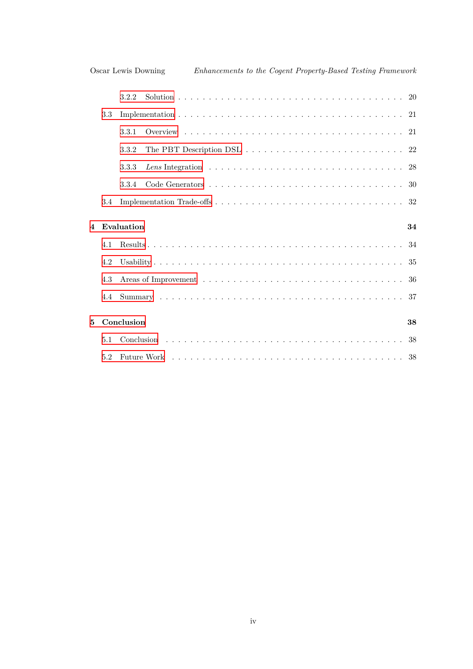|                |     | 3.2.2      |                                                                                                    |  |  |  |  |    |
|----------------|-----|------------|----------------------------------------------------------------------------------------------------|--|--|--|--|----|
|                | 3.3 |            |                                                                                                    |  |  |  |  |    |
|                |     | 3.3.1      |                                                                                                    |  |  |  |  |    |
|                |     | 3.3.2      | The PBT Description DSL $\ldots \ldots \ldots \ldots \ldots \ldots \ldots \ldots \ldots 22$        |  |  |  |  |    |
|                |     | 3.3.3      | Lens Integration $\ldots \ldots \ldots \ldots \ldots \ldots \ldots \ldots \ldots \ldots \ldots 28$ |  |  |  |  |    |
|                |     | 3.3.4      |                                                                                                    |  |  |  |  |    |
|                | 3.4 |            |                                                                                                    |  |  |  |  |    |
| $\overline{4}$ |     | Evaluation |                                                                                                    |  |  |  |  | 34 |
|                |     |            |                                                                                                    |  |  |  |  |    |
|                |     |            |                                                                                                    |  |  |  |  |    |
|                | 4 1 |            |                                                                                                    |  |  |  |  |    |
|                | 4.2 |            |                                                                                                    |  |  |  |  |    |
|                | 4.3 |            |                                                                                                    |  |  |  |  |    |
|                | 4.4 |            |                                                                                                    |  |  |  |  |    |
|                |     |            |                                                                                                    |  |  |  |  |    |
| 5              |     | Conclusion |                                                                                                    |  |  |  |  | 38 |
|                | 5.1 |            |                                                                                                    |  |  |  |  |    |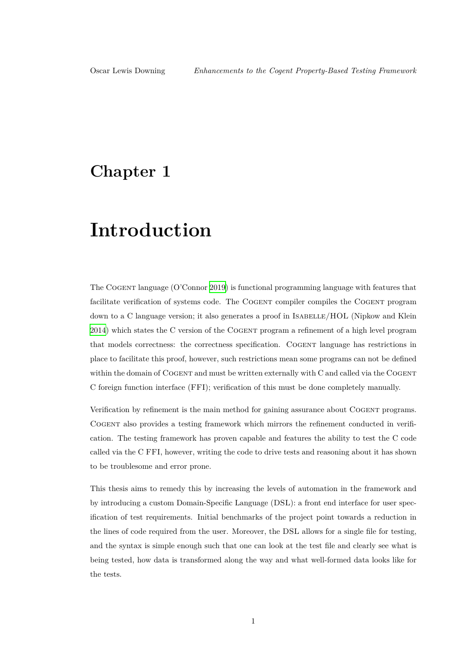## <span id="page-5-0"></span>**Chapter 1**

## **Introduction**

The Cogent language (O'Connor 2019) is functional programming language with features that facilitate verification of systems code. The COGENT compiler compiles the COGENT program down to a C language version; it also generates a proof in ISABELLE/HOL (Nipkow and Klein 2014) which states the C version o[f the](#page-45-0) Cogent program a refinement of a high level program that models correctness: the correctness specification. Cogent language has restrictions in place to facilitate this proof, however, such restrictions mean some programs can not be defined [withi](#page-45-1)n the domain of COGENT and must be written externally with C and called via the COGENT C foreign function interface (FFI); verification of this must be done completely manually.

Verification by refinement is the main method for gaining assurance about COGENT programs. Cogent also provides a testing framework which mirrors the refinement conducted in verification. The testing framework has proven capable and features the ability to test the C code called via the C FFI, however, writing the code to drive tests and reasoning about it has shown to be troublesome and error prone.

This thesis aims to remedy this by increasing the levels of automation in the framework and by introducing a custom Domain-Specific Language (DSL): a front end interface for user specification of test requirements. Initial benchmarks of the project point towards a reduction in the lines of code required from the user. Moreover, the DSL allows for a single file for testing, and the syntax is simple enough such that one can look at the test file and clearly see what is being tested, how data is transformed along the way and what well-formed data looks like for the tests.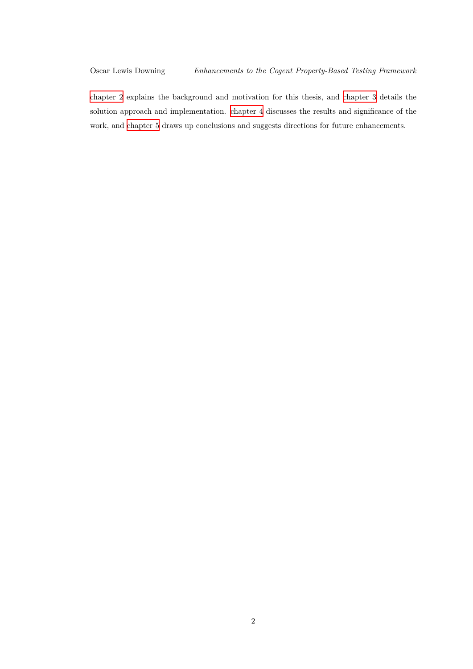chapter 2 explains the background and motivation for this thesis, and chapter 3 details the solution approach and implementation. chapter 4 discusses the results and significance of the work, and chapter 5 draws up conclusions and suggests directions for future enhancements.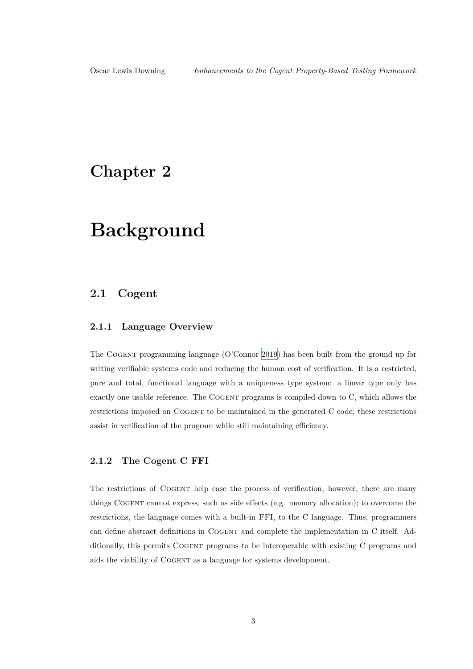## <span id="page-7-0"></span>**Chapter 2**

## **Background**

### **2.1 Cogent**

### <span id="page-7-1"></span>**2.1.1 Language Overview**

<span id="page-7-2"></span>The Cogent programming language (O'Connor 2019) has been built from the ground up for writing verifiable systems code and reducing the human cost of verification. It is a restricted, pure and total, functional language with a uniqueness type system: a linear type only has exactly one usable reference. The COGENT progr[ams i](#page-45-0)s compiled down to C, which allows the restrictions imposed on Cogent to be maintained in the generated C code; these restrictions assist in verification of the program while still maintaining efficiency.

### **2.1.2 The Cogent C FFI**

<span id="page-7-3"></span>The restrictions of Cogent help ease the process of verification, however, there are many things Cogent cannot express, such as side effects (e.g. memory allocation); to overcome the restrictions, the language comes with a built-in FFI, to the C language. Thus, programmers can define abstract definitions in Cogent and complete the implementation in C itself. Additionally, this permits COGENT programs to be interoperable with existing C programs and aids the viability of Cogent as a language for systems development.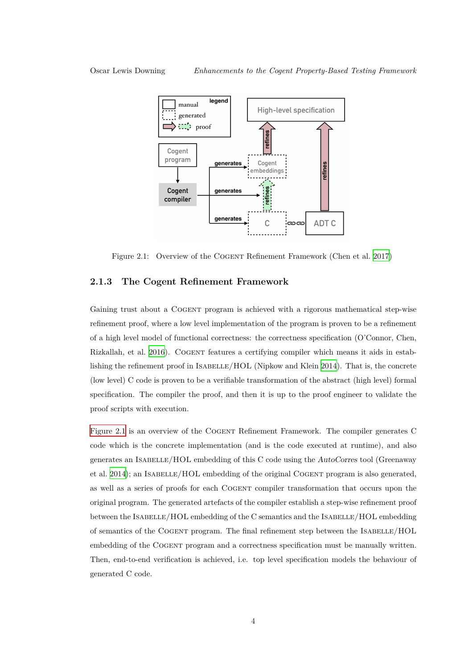

<span id="page-8-1"></span>Figure 2.1: Overview of the COGENT Refinement Framework (Chen et al. 2017)

### **2.1.3 The Cogent Refinement Framework**

<span id="page-8-0"></span>Gaining trust about a COGENT program is achieved with a rigorous mathematical step-wise refinement proof, where a low level implementation of the program is proven to be a refinement of a high level model of functional correctness: the correctness specification (O'Connor, Chen, Rizkallah, et al. 2016). Cogent features a certifying compiler which means it aids in establishing the refinement proof in ISABELLE/HOL (Nipkow and Klein 2014). That is, the concrete (low level) C code is proven to be a verifiable transformation of the abstract (high level) formal specification. T[he com](#page-45-2)piler the proof, and then it is up to the proof engineer to validate the proof scripts with execution.

Figure 2.1 is an overview of the Cogent Refinement Framework. The compiler generates C code which is the concrete implementation (and is the code executed at runtime), and also generates an Isabelle/HOL embedding of this C code using the *AutoCorres* tool (Greenaway [et al.](#page-8-1) 2014); an ISABELLE/HOL embedding of the original COGENT program is also generated, as well as a series of proofs for each Cogent compiler transformation that occurs upon the original program. The generated artefacts of the compiler establish a step-wise refinement proof betw[een th](#page-44-0)e ISABELLE/HOL embedding of the C semantics and the ISABELLE/HOL embedding of semantics of the COGENT program. The final refinement step between the ISABELLE/HOL embedding of the Cogent program and a correctness specification must be manually written. Then, end-to-end verification is achieved, i.e. top level specification models the behaviour of generated C code.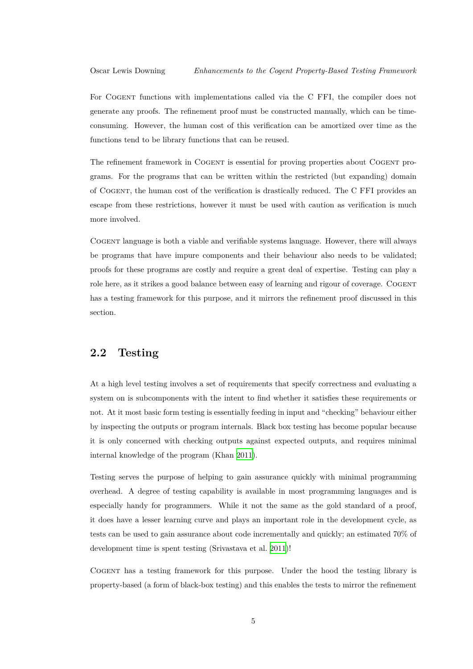For Cogent functions with implementations called via the C FFI, the compiler does not generate any proofs. The refinement proof must be constructed manually, which can be timeconsuming. However, the human cost of this verification can be amortized over time as the functions tend to be library functions that can be reused.

The refinement framework in COGENT is essential for proving properties about COGENT programs. For the programs that can be written within the restricted (but expanding) domain of Cogent, the human cost of the verification is drastically reduced. The C FFI provides an escape from these restrictions, however it must be used with caution as verification is much more involved.

Cogent language is both a viable and verifiable systems language. However, there will always be programs that have impure components and their behaviour also needs to be validated; proofs for these programs are costly and require a great deal of expertise. Testing can play a role here, as it strikes a good balance between easy of learning and rigour of coverage. COGENT has a testing framework for this purpose, and it mirrors the refinement proof discussed in this section.

### **2.2 Testing**

<span id="page-9-0"></span>At a high level testing involves a set of requirements that specify correctness and evaluating a system on is subcomponents with the intent to find whether it satisfies these requirements or not. At it most basic form testing is essentially feeding in input and "checking" behaviour either by inspecting the outputs or program internals. Black box testing has become popular because it is only concerned with checking outputs against expected outputs, and requires minimal internal knowledge of the program (Khan 2011).

Testing serves the purpose of helping to gain assurance quickly with minimal programming overhead. A degree of testing capability [is av](#page-45-3)ailable in most programming languages and is especially handy for programmers. While it not the same as the gold standard of a proof, it does have a lesser learning curve and plays an important role in the development cycle, as tests can be used to gain assurance about code incrementally and quickly; an estimated 70% of development time is spent testing (Srivastava et al. 2011)!

Cogent has a testing framework for this purpose. Under the hood the testing library is property-based (a form of black-box testing) and thi[s ena](#page-45-4)bles the tests to mirror the refinement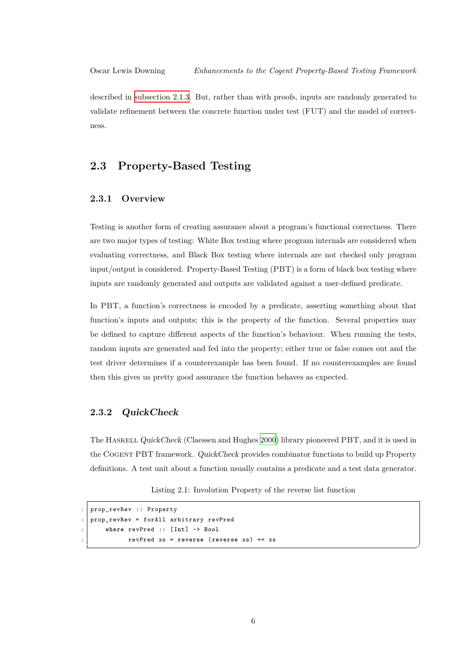described in subsection 2.1.3. But, rather than with proofs, inputs are randomly generated to validate refinement between the concrete function under test (FUT) and the model of correctness.

### **2.3 Property-Based Testing**

### <span id="page-10-0"></span>**2.3.1 Overview**

<span id="page-10-1"></span>Testing is another form of creating assurance about a program's functional correctness. There are two major types of testing: White Box testing where program internals are considered when evaluating correctness, and Black Box testing where internals are not checked only program input/output is considered. Property-Based Testing (PBT) is a form of black box testing where inputs are randomly generated and outputs are validated against a user-defined predicate.

In PBT, a function's correctness is encoded by a predicate, asserting something about that function's inputs and outputs; this is the property of the function. Several properties may be defined to capture different aspects of the function's behaviour. When running the tests, random inputs are generated and fed into the property; either true or false comes out and the test driver determines if a counterexample has been found. If no counterexamples are found then this gives us pretty good assurance the function behaves as expected.

### **2.3.2** *QuickCheck*

<span id="page-10-2"></span>The Haskell *QuickCheck* (Claessen and Hughes 2000) library pioneered PBT, and it is used in the Cogent PBT framework. *QuickCheck* provides combinator functions to build up Property definitions. A test unit about a function usually contains a predicate and a test data generator.

Listing 2.1: Involution Property of the reverse list function

✆

```
prop_revRev :: Property
2 prop_revRev = forAll arbitrary revPred
3 where revPred :: [Int] -> Bool
4 revPred xs = reverse (reverse xs) == xs
```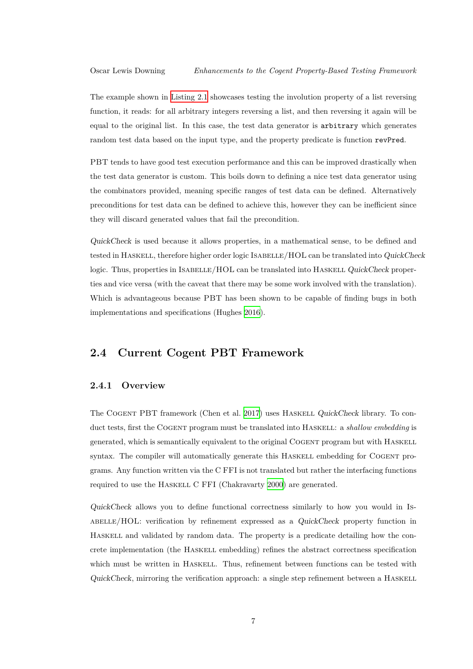The example shown in Listing 2.1 showcases testing the involution property of a list reversing function, it reads: for all arbitrary integers reversing a list, and then reversing it again will be equal to the original list. In this case, the test data generator is arbitrary which generates random test data base[d on the inp](#page-10-3)ut type, and the property predicate is function revPred.

PBT tends to have good test execution performance and this can be improved drastically when the test data generator is custom. This boils down to defining a nice test data generator using the combinators provided, meaning specific ranges of test data can be defined. Alternatively preconditions for test data can be defined to achieve this, however they can be inefficient since they will discard generated values that fail the precondition.

*QuickCheck* is used because it allows properties, in a mathematical sense, to be defined and tested in Haskell, therefore higher order logic Isabelle/HOL can be translated into *QuickCheck* logic. Thus, properties in ISABELLE/HOL can be translated into HASKELL *QuickCheck* properties and vice versa (with the caveat that there may be some work involved with the translation). Which is advantageous because PBT has been shown to be capable of finding bugs in both implementations and specifications (Hughes 2016).

### **2.4 Current Cogent PBT [Fram](#page-45-5)ework**

### <span id="page-11-0"></span>**2.4.1 Overview**

<span id="page-11-1"></span>The Cogent PBT framework (Chen et al. 2017) uses Haskell *QuickCheck* library. To conduct tests, first the Cogent program must be translated into Haskell: a *shallow embedding* is generated, which is semantically equivalent to the original Cogent program but with Haskell syntax. The compiler will automatically ge[nerate](#page-44-1) this HASKELL embedding for COGENT programs. Any function written via the C FFI is not translated but rather the interfacing functions required to use the HASKELL C FFI (Chakravarty 2000) are generated.

*QuickCheck* allows you to define functional correctness similarly to how you would in Isabelle/HOL: verification by refinement express[ed as](#page-44-2) a *QuickCheck* property function in Haskell and validated by random data. The property is a predicate detailing how the concrete implementation (the Haskell embedding) refines the abstract correctness specification which must be written in HASKELL. Thus, refinement between functions can be tested with *QuickCheck*, mirroring the verification approach: a single step refinement between a HASKELL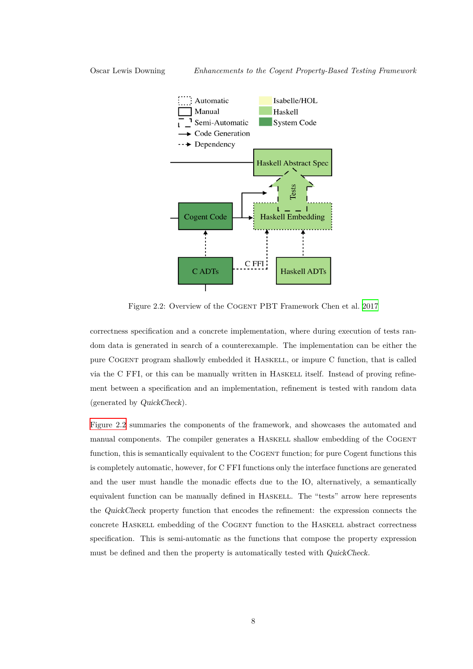

<span id="page-12-0"></span>Figure 2.2: Overview of the Cogent PBT Framework Chen et al. 2017

correctness specification and a concrete implementation, where during execution of tests random data is generated in search of a counterexample. The implementation c[an be](#page-44-1) either the pure Cogent program shallowly embedded it Haskell, or impure C function, that is called via the C FFI, or this can be manually written in HASKELL itself. Instead of proving refinement between a specification and an implementation, refinement is tested with random data (generated by *QuickCheck*).

Figure 2.2 summaries the components of the framework, and showcases the automated and manual components. The compiler generates a HASKELL shallow embedding of the COGENT function, this is semantically equivalent to the Cogent function; for pure Cogent functions this [is complete](#page-12-0)ly automatic, however, for C FFI functions only the interface functions are generated and the user must handle the monadic effects due to the IO, alternatively, a semantically equivalent function can be manually defined in Haskell. The "tests" arrow here represents the *QuickCheck* property function that encodes the refinement: the expression connects the concrete Haskell embedding of the Cogent function to the Haskell abstract correctness specification. This is semi-automatic as the functions that compose the property expression must be defined and then the property is automatically tested with *QuickCheck*.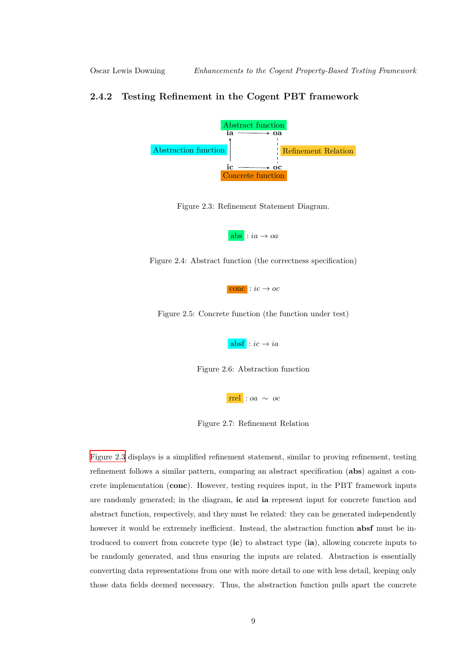### <span id="page-13-0"></span>**2.4.2 Testing Refinement in the Cogent PBT framework**



Figure 2.3: Refinement Statement Diagram.

 $|abs|: ia \rightarrow oa$ 

<span id="page-13-1"></span>Figure 2.4: Abstract function (the correctness specification)



Figure 2.5: Concrete function (the function under test)

 $absf$  :  $ic \rightarrow ia$ 

Figure 2.6: Abstraction function

rrel : *oa ∼ oc*

Figure 2.7: Refinement Relation

Figure 2.3 displays is a simplified refinement statement, similar to proving refinement, testing refinement follows a similar pattern, comparing an abstract specification (**abs**) against a concrete implementation (**conc**). However, testing requires input, in the PBT framework inputs [are random](#page-13-1)ly generated; in the diagram, **ic** and **ia** represent input for concrete function and abstract function, respectively, and they must be related: they can be generated independently however it would be extremely inefficient. Instead, the abstraction function **absf** must be introduced to convert from concrete type (**ic**) to abstract type (**ia**), allowing concrete inputs to be randomly generated, and thus ensuring the inputs are related. Abstraction is essentially converting data representations from one with more detail to one with less detail, keeping only those data fields deemed necessary. Thus, the abstraction function pulls apart the concrete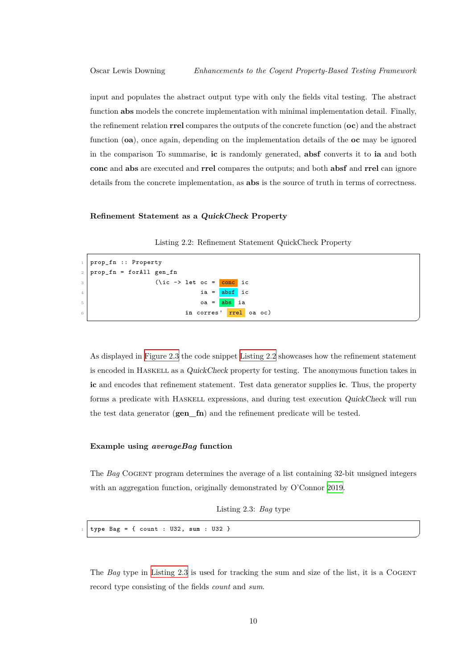input and populates the abstract output type with only the fields vital testing. The abstract function **abs** models the concrete implementation with minimal implementation detail. Finally, the refinement relation **rrel** compares the outputs of the concrete function (**oc**) and the abstract function (**oa**), once again, depending on the implementation details of the **oc** may be ignored in the comparison To summarise, **ic** is randomly generated, **absf** converts it to **ia** and both **conc** and **abs** are executed and **rrel** compares the outputs; and both **absf** and **rrel** can ignore details from the concrete implementation, as **abs** is the source of truth in terms of correctness.

#### **Refinement Statement as a** *QuickCheck* **Property**

|  |  | Listing 2.2: Refinement Statement QuickCheck Property |  |  |
|--|--|-------------------------------------------------------|--|--|
|--|--|-------------------------------------------------------|--|--|

```
1 prop_fn :: Property
2 prop_fn = forAll gen_fn
3 (\ic -> let oc = conc ic
\begin{array}{c|c|c|c|c} \hline \end{array} \begin{array}{c|c|c} \hline \end{array} ia = \begin{array}{c|c|c} \textbf{absf} & \textbf{ic} \end{array}\begin{array}{ccc} 5 & \phantom{000} \end{array} oa = \begin{array}{c} \texttt{abs} \end{array}ia
6 in corres' rrel oa oc)
```
As displayed in Figure 2.3 the code snippet Listing 2.2 showcases how the refinement statement is encoded in Haskell as a *QuickCheck* property for testing. The anonymous function takes in **ic** and encodes that refinement statement. Test data generator supplies **ic**. Thus, the property forms a predica[te with](#page-13-1) Haskell expressio[ns, and dur](#page-14-0)ing test execution *QuickCheck* will run the test data generator (**gen\_fn**) and the refinement predicate will be tested.

✆

✆

#### **Example using** *averageBag* **function**

The *Bag* COGENT program determines the average of a list containing 32-bit unsigned integers with an aggregation function, originally demonstrated by O'Connor 2019.

```
Listing 2.3: Bag type
```
<sup>1</sup> **type** Bag = { count : U32, **sum** : U32 }

The *Bag* type in Listing 2.3 is used for tracking the sum and size of the list, it is a COGENT record type consisting of the fields *count* and *sum*.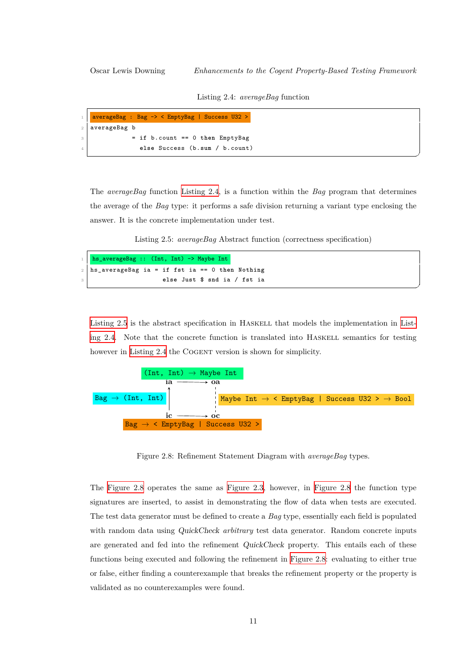✆

✆

Listing 2.4: *averageBag* function

<span id="page-15-0"></span>

| 1   averageBag : Bag -> < EmptyBag   Success U32 > |
|----------------------------------------------------|
| 2   averageBag b                                   |
| $=$ if b.count $== 0$ then EmptyBag                |
| else Success (b.sum / b.count)                     |

The *averageBag* function Listing 2.4, is a function within the *Bag* program that determines the average of the *Bag* type: it performs a safe division returning a variant type enclosing the answer. It is the concrete implementation under test.

Listing 2.5: *[averageBag](#page-15-0)* Abstract function (correctness specification)

|       | $\frac{1}{\sqrt{1}}$ hs_averageBag :: (Int, Int) -> Maybe Int |
|-------|---------------------------------------------------------------|
|       | $_2$   hs_averageBag ia = if fst ia == 0 then Nothing         |
| $3-1$ | else Just \$ snd ia / fst ia                                  |

Listing 2.5 is the abstract specification in Haskell that models the implementation in Listing 2.4. Note that the concrete function is translated into HASKELL semantics for testing however in Listing 2.4 the COGENT version is shown for simplicity.



Figure 2.8: Refinement Statement Diagram with *averageBag* types.

<span id="page-15-1"></span>The Figure 2.8 operates the same as Figure 2.3, however, in Figure 2.8 the function type signatures are inserted, to assist in demonstrating the flow of data when tests are executed. The test data generator must be defined to create a *Bag* type, essentially each field is populated with [random da](#page-15-1)ta using *QuickCheck a[rbitrary](#page-13-1)* test data genera[tor. Rando](#page-15-1)m concrete inputs are generated and fed into the refinement *QuickCheck* property. This entails each of these functions being executed and following the refinement in Figure 2.8: evaluating to either true or false, either finding a counterexample that breaks the refinement property or the property is validated as no counterexamples were found.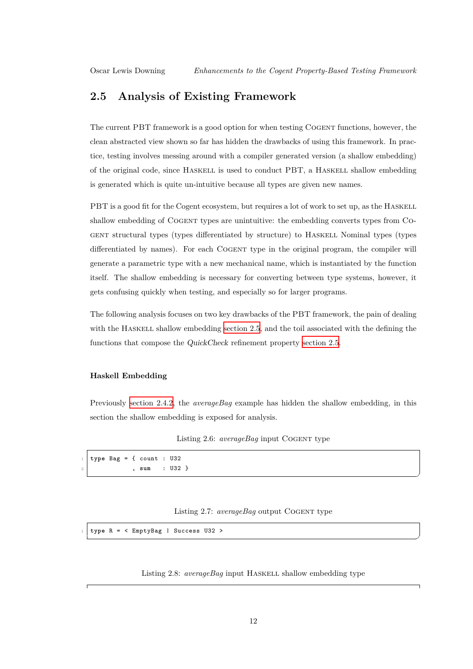### **2.5 Analysis of Existing Framework**

<span id="page-16-0"></span>The current PBT framework is a good option for when testing Cogent functions, however, the clean abstracted view shown so far has hidden the drawbacks of using this framework. In practice, testing involves messing around with a compiler generated version (a shallow embedding) of the original code, since Haskell is used to conduct PBT, a Haskell shallow embedding is generated which is quite un-intuitive because all types are given new names.

PBT is a good fit for the Cogent ecosystem, but requires a lot of work to set up, as the HASKELL shallow embedding of Cogent types are unintuitive: the embedding converts types from Cogent structural types (types differentiated by structure) to Haskell Nominal types (types differentiated by names). For each COGENT type in the original program, the compiler will generate a parametric type with a new mechanical name, which is instantiated by the function itself. The shallow embedding is necessary for converting between type systems, however, it gets confusing quickly when testing, and especially so for larger programs.

The following analysis focuses on two key drawbacks of the PBT framework, the pain of dealing with the HASKELL shallow embedding section 2.5, and the toil associated with the defining the functions that compose the *QuickCheck* refinement property section 2.5.

### **Haskell Embedding**

Previously section 2.4.2, the *averageBag* example has hidden the shallow embedding, in this section the shallow embedding is exposed for analysis.

### Listing 2.6: *averageBag* input COGENT type

```
1 type Bag = { count : U32
2 , sum : U32 }
```
#### Listing 2.7: *averageBag* output COGENT type

✆

✆

<span id="page-16-2"></span><sup>1</sup> **type** R = < EmptyBag | Success U32 >

Listing 2.8: *averageBag* input HASKELL shallow embedding type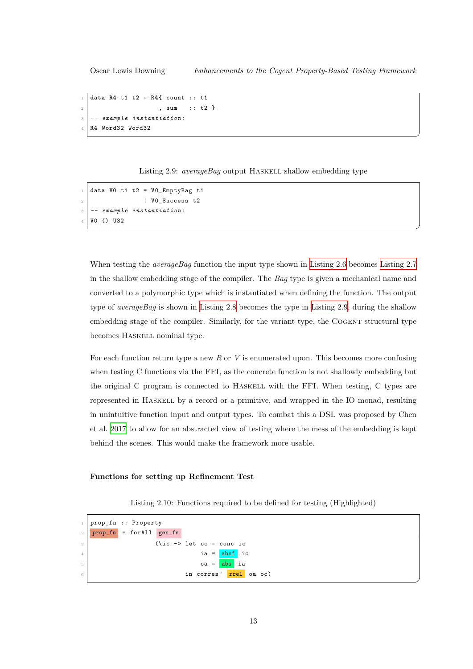Oscar Lewis Downing *Enhancements to the Cogent Property-Based Testing Framework*

```
1 data R4 t1 t2 = R4{ count :: t1
2 , sum :: t2 }
3 -- example instantiation:
  4 R4 Word32 Word32
```
Listing 2.9: *averageBag* output HASKELL shallow embedding type

✆

✆

✆

```
1 data V0 t1 t2 = V0_EmptyBag t1
2 | V0_Success t2
3 -- example instantiation:
  VO () U32
```
When testing the *averageBag* function the input type shown in Listing 2.6 becomes Listing 2.7 in the shallow embedding stage of the compiler. The *Bag* type is given a mechanical name and converted to a polymorphic type which is instantiated when defining the function. The output type of *averageBag* is shown in Listing 2.8 becomes the type in [Listing 2.9](#page-16-1), during [the shallow](#page-16-2) embedding stage of the compiler. Similarly, for the variant type, the COGENT structural type becomes Haskell nominal type.

For each function return type a new *R* or *V* is enumerated upon. This becomes more confusing when testing C functions via the FFI, as the concrete function is not shallowly embedding but the original C program is connected to HASKELL with the FFI. When testing, C types are represented in Haskell by a record or a primitive, and wrapped in the IO monad, resulting in unintuitive function input and output types. To combat this a DSL was proposed by Chen et al. 2017 to allow for an abstracted view of testing where the mess of the embedding is kept behind the scenes. This would make the framework more usable.

### **Func[tions](#page-44-1) for setting up Refinement Test**

Listing 2.10: Functions required to be defined for testing (Highlighted)

```
1 prop_fn :: Property
2 \mid prop_fn = forAll gen_fn3 (\ic -> let oc = conc ic
\begin{array}{c|c|c|c|c} \hline \end{array} ia = absf ic
\begin{array}{c|c|c|c|c} \hline 5 & \multicolumn{1}{c|}{\text{oa}} = \textbf{abs} & \textbf{ia} \end{array}6 in corres' <mark>rrel</mark> oa oc)
```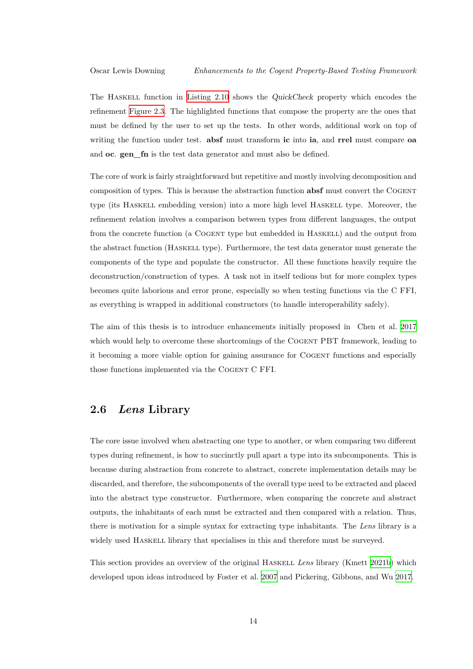The Haskell function in Listing 2.10 shows the *QuickCheck* property which encodes the refinement Figure 2.3. The highlighted functions that compose the property are the ones that must be defined by the user to set up the tests. In other words, additional work on top of writing the function under test. **[absf](#page-17-0)** must transform **ic** into **ia**, and **rrel** must compare **oa** and **oc**. **g[en\\_fn](#page-13-1)** is the test data generator and must also be defined.

The core of work is fairly straightforward but repetitive and mostly involving decomposition and composition of types. This is because the abstraction function **absf** must convert the Cogent type (its Haskell embedding version) into a more high level Haskell type. Moreover, the refinement relation involves a comparison between types from different languages, the output from the concrete function (a Cogent type but embedded in Haskell) and the output from the abstract function (Haskell type). Furthermore, the test data generator must generate the components of the type and populate the constructor. All these functions heavily require the deconstruction/construction of types. A task not in itself tedious but for more complex types becomes quite laborious and error prone, especially so when testing functions via the C FFI, as everything is wrapped in additional constructors (to handle interoperability safely).

The aim of this thesis is to introduce enhancements initially proposed in Chen et al. 2017 which would help to overcome these shortcomings of the COGENT PBT framework, leading to it becoming a more viable option for gaining assurance for Cogent functions and especially those functions implemented via the Cogent C FFI.

### **2.6** *Lens* **Library**

<span id="page-18-0"></span>The core issue involved when abstracting one type to another, or when comparing two different types during refinement, is how to succinctly pull apart a type into its subcomponents. This is because during abstraction from concrete to abstract, concrete implementation details may be discarded, and therefore, the subcomponents of the overall type need to be extracted and placed into the abstract type constructor. Furthermore, when comparing the concrete and abstract outputs, the inhabitants of each must be extracted and then compared with a relation. Thus, there is motivation for a simple syntax for extracting type inhabitants. The *Lens* library is a widely used HASKELL library that specialises in this and therefore must be surveyed.

This section provides an overview of the original Haskell *Lens* library (Kmett 2021b) which developed upon ideas introduced by Foster et al. 2007 and Pickering, Gibbons, and Wu 2017.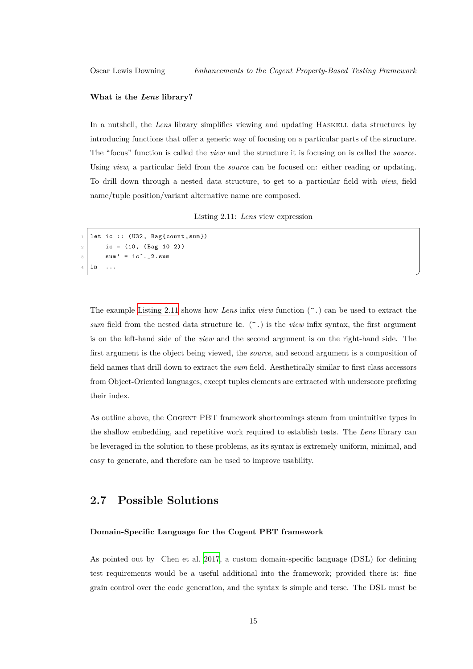✆

#### **What is the** *Lens* **library?**

In a nutshell, the *Lens* library simplifies viewing and updating HASKELL data structures by introducing functions that offer a generic way of focusing on a particular parts of the structure. The "focus" function is called the *view* and the structure it is focusing on is called the *source*. Using *view*, a particular field from the *source* can be focused on: either reading or updating. To drill down through a nested data structure, to get to a particular field with *view*, field name/tuple position/variant alternative name are composed.

Listing 2.11: *Lens* view expression

```
1 let ic :: (U32, Bag{count,sum})
         ic = (10, (Bag 10 2))3 \mid \text{sum} = \text{ic}^{\frown}.2 \cdot \text{sum}4 in ...
```
The example Listing 2.11 shows how *Lens* infix *view* function (^.) can be used to extract the *sum* field from the nested data structure **ic**. (^.) is the *view* infix syntax, the first argument is on the left-hand side of the *view* and the second argument is on the right-hand side. The first argumen[t is the objec](#page-19-1)t being viewed, the *source*, and second argument is a composition of field names that drill down to extract the *sum* field. Aesthetically similar to first class accessors from Object-Oriented languages, except tuples elements are extracted with underscore prefixing their index.

As outline above, the Cogent PBT framework shortcomings steam from unintuitive types in the shallow embedding, and repetitive work required to establish tests. The *Lens* library can be leveraged in the solution to these problems, as its syntax is extremely uniform, minimal, and easy to generate, and therefore can be used to improve usability.

### **2.7 Possible Solutions**

#### <span id="page-19-0"></span>**Domain-Specific Language for the Cogent PBT framework**

As pointed out by Chen et al. 2017, a custom domain-specific language (DSL) for defining test requirements would be a useful additional into the framework; provided there is: fine grain control over the code generation, and the syntax is simple and terse. The DSL must be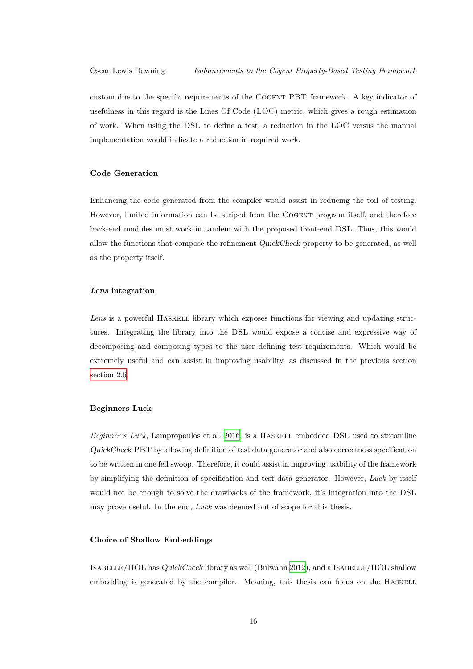custom due to the specific requirements of the Cogent PBT framework. A key indicator of usefulness in this regard is the Lines Of Code (LOC) metric, which gives a rough estimation of work. When using the DSL to define a test, a reduction in the LOC versus the manual implementation would indicate a reduction in required work.

#### **Code Generation**

Enhancing the code generated from the compiler would assist in reducing the toil of testing. However, limited information can be striped from the COGENT program itself, and therefore back-end modules must work in tandem with the proposed front-end DSL. Thus, this would allow the functions that compose the refinement *QuickCheck* property to be generated, as well as the property itself.

#### *Lens* **integration**

Lens is a powerful HASKELL library which exposes functions for viewing and updating structures. Integrating the library into the DSL would expose a concise and expressive way of decomposing and composing types to the user defining test requirements. Which would be extremely useful and can assist in improving usability, as discussed in the previous section section 2.6.

#### **[Beginners](#page-18-0) Luck**

*Beginner's Luck*, Lampropoulos et al. 2016, is a HASKELL embedded DSL used to streamline *QuickCheck* PBT by allowing definition of test data generator and also correctness specification to be written in one fell swoop. Therefore, it could assist in improving usability of the framework by simplifying the definition of specifi[cation](#page-45-6) and test data generator. However, *Luck* by itself would not be enough to solve the drawbacks of the framework, it's integration into the DSL may prove useful. In the end, *Luck* was deemed out of scope for this thesis.

#### **Choice of Shallow Embeddings**

Isabelle/HOL has *QuickCheck* library as well (Bulwahn 2012), and a Isabelle/HOL shallow embedding is generated by the compiler. Meaning, this thesis can focus on the HASKELL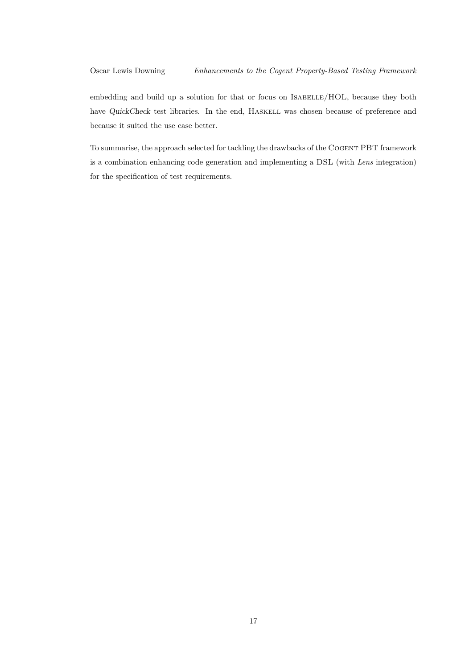embedding and build up a solution for that or focus on ISABELLE/HOL, because they both have *QuickCheck* test libraries. In the end, HASKELL was chosen because of preference and because it suited the use case better.

To summarise, the approach selected for tackling the drawbacks of the Cogent PBT framework is a combination enhancing code generation and implementing a DSL (with *Lens* integration) for the specification of test requirements.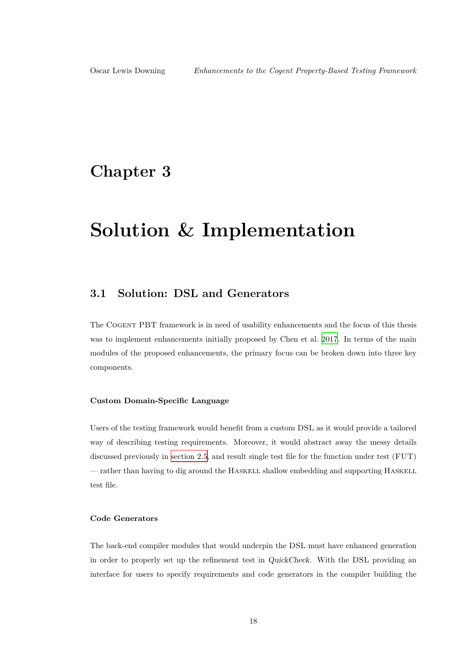## <span id="page-22-0"></span>**Chapter 3**

## **Solution & Implementation**

### **3.1 Solution: DSL and Generators**

<span id="page-22-1"></span>The Cogent PBT framework is in need of usability enhancements and the focus of this thesis was to implement enhancements initially proposed by Chen et al. 2017. In terms of the main modules of the proposed enhancements, the primary focus can be broken down into three key components.

### **Custom Domain-Specific Language**

Users of the testing framework would benefit from a custom DSL as it would provide a tailored way of describing testing requirements. Moreover, it would abstract away the messy details discussed previously in section 2.5, and result single test file for the function under test (FUT) — rather than having to dig around the Haskell shallow embedding and supporting Haskell test file.

#### **Code Generators**

The back-end compiler modules that would underpin the DSL must have enhanced generation in order to properly set up the refinement test in *QuickCheck*. With the DSL providing an interface for users to specify requirements and code generators in the compiler building the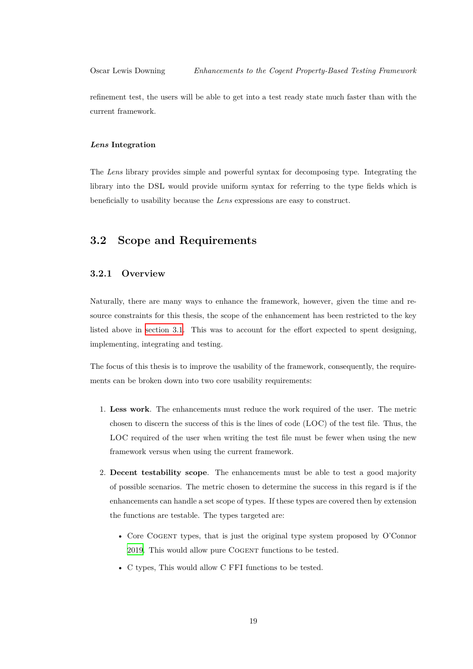refinement test, the users will be able to get into a test ready state much faster than with the current framework.

#### *Lens* **Integration**

The *Lens* library provides simple and powerful syntax for decomposing type. Integrating the library into the DSL would provide uniform syntax for referring to the type fields which is beneficially to usability because the *Lens* expressions are easy to construct.

### **3.2 Scope and Requirements**

### **3.2.1 Overview**

Naturally, there are many ways to enhance the framework, however, given the time and resource constraints for this thesis, the scope of the enhancement has been restricted to the key listed above in section 3.1. This was to account for the effort expected to spent designing, implementing, integrating and testing.

The focus of thi[s thesis is t](#page-22-1)o improve the usability of the framework, consequently, the requirements can be broken down into two core usability requirements:

- 1. **Less work**. The enhancements must reduce the work required of the user. The metric chosen to discern the success of this is the lines of code (LOC) of the test file. Thus, the LOC required of the user when writing the test file must be fewer when using the new framework versus when using the current framework.
- 2. **Decent testability scope**. The enhancements must be able to test a good majority of possible scenarios. The metric chosen to determine the success in this regard is if the enhancements can handle a set scope of types. If these types are covered then by extension the functions are testable. The types targeted are:
	- Core Cogent types, that is just the original type system proposed by O'Connor 2019. This would allow pure Cogent functions to be tested.
	- C types, This would allow C FFI functions to be tested.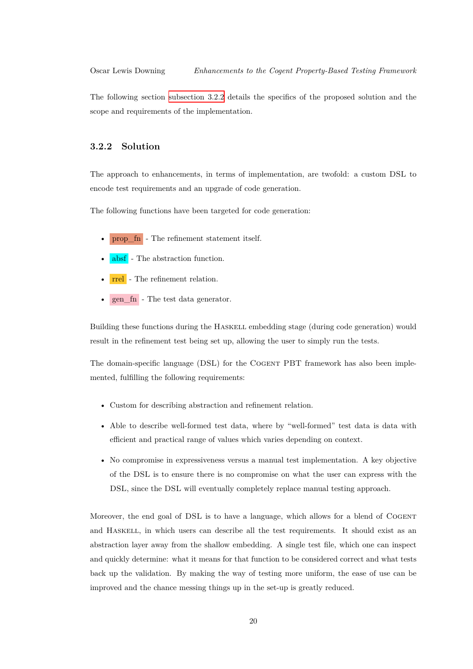The following section subsection 3.2.2 details the specifics of the proposed solution and the scope and requirements of the implementation.

### **3.2.2 Solution**

<span id="page-24-0"></span>The approach to enhancements, in terms of implementation, are twofold: a custom DSL to encode test requirements and an upgrade of code generation.

The following functions have been targeted for code generation:

- prop\_fn The refinement statement itself.
- absf The abstraction function.
- rrel The refinement relation.
- gen  $fn$  The test data generator.

Building these functions during the Haskell embedding stage (during code generation) would result in the refinement test being set up, allowing the user to simply run the tests.

The domain-specific language (DSL) for the COGENT PBT framework has also been implemented, fulfilling the following requirements:

- Custom for describing abstraction and refinement relation.
- Able to describe well-formed test data, where by "well-formed" test data is data with efficient and practical range of values which varies depending on context.
- No compromise in expressiveness versus a manual test implementation. A key objective of the DSL is to ensure there is no compromise on what the user can express with the DSL, since the DSL will eventually completely replace manual testing approach.

Moreover, the end goal of DSL is to have a language, which allows for a blend of COGENT and Haskell, in which users can describe all the test requirements. It should exist as an abstraction layer away from the shallow embedding. A single test file, which one can inspect and quickly determine: what it means for that function to be considered correct and what tests back up the validation. By making the way of testing more uniform, the ease of use can be improved and the chance messing things up in the set-up is greatly reduced.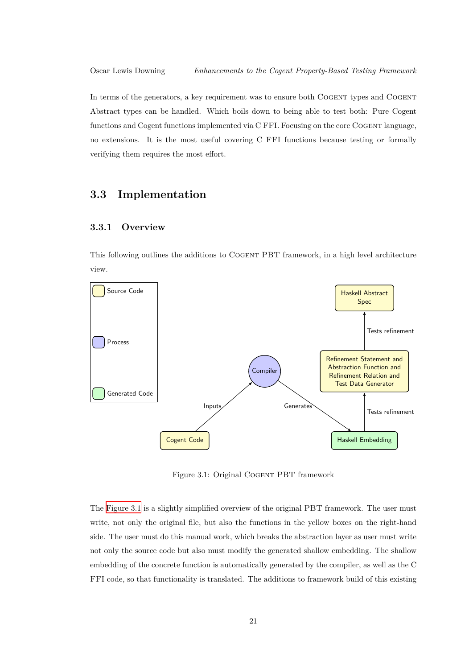In terms of the generators, a key requirement was to ensure both COGENT types and COGENT Abstract types can be handled. Which boils down to being able to test both: Pure Cogent functions and Cogent functions implemented via C FFI. Focusing on the core Cogent language, no extensions. It is the most useful covering C FFI functions because testing or formally verifying them requires the most effort.

### **3.3 Implementation**

### <span id="page-25-0"></span>**3.3.1 Overview**

<span id="page-25-1"></span>This following outlines the additions to Cogent PBT framework, in a high level architecture view.



Figure 3.1: Original Cogent PBT framework

<span id="page-25-2"></span>The Figure 3.1 is a slightly simplified overview of the original PBT framework. The user must write, not only the original file, but also the functions in the yellow boxes on the right-hand side. The user must do this manual work, which breaks the abstraction layer as user must write not [only the so](#page-25-2)urce code but also must modify the generated shallow embedding. The shallow embedding of the concrete function is automatically generated by the compiler, as well as the C FFI code, so that functionality is translated. The additions to framework build of this existing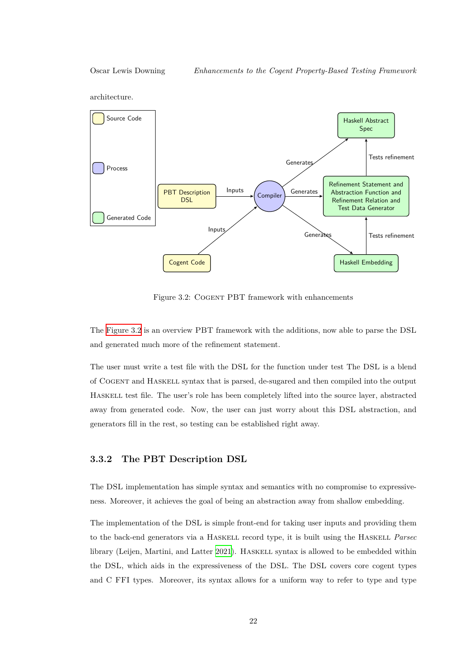architecture.



Figure 3.2: Cogent PBT framework with enhancements

<span id="page-26-1"></span>The Figure 3.2 is an overview PBT framework with the additions, now able to parse the DSL and generated much more of the refinement statement.

The [user must](#page-26-1) write a test file with the DSL for the function under test The DSL is a blend of Cogent and Haskell syntax that is parsed, de-sugared and then compiled into the output Haskell test file. The user's role has been completely lifted into the source layer, abstracted away from generated code. Now, the user can just worry about this DSL abstraction, and generators fill in the rest, so testing can be established right away.

### **3.3.2 The PBT Description DSL**

<span id="page-26-0"></span>The DSL implementation has simple syntax and semantics with no compromise to expressiveness. Moreover, it achieves the goal of being an abstraction away from shallow embedding.

The implementation of the DSL is simple front-end for taking user inputs and providing them to the back-end generators via a Haskell record type, it is built using the Haskell *Parsec* library (Leijen, Martini, and Latter 2021). HASKELL syntax is allowed to be embedded within the DSL, which aids in the expressiveness of the DSL. The DSL covers core cogent types and C FFI types. Moreover, its syntax allows for a uniform way to refer to type and type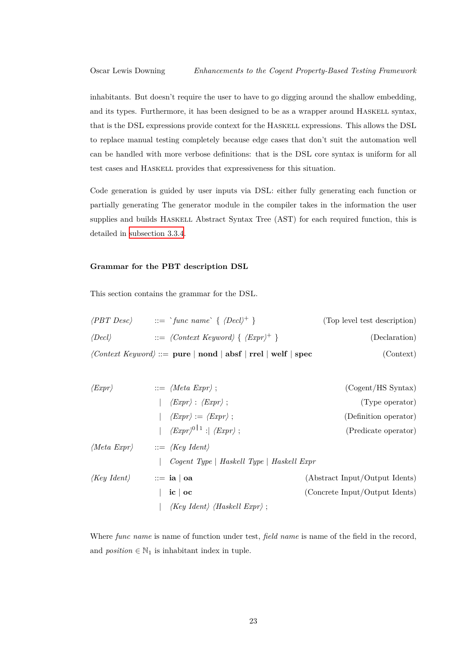inhabitants. But doesn't require the user to have to go digging around the shallow embedding, and its types. Furthermore, it has been designed to be as a wrapper around Haskell syntax, that is the DSL expressions provide context for the Haskell expressions. This allows the DSL to replace manual testing completely because edge cases that don't suit the automation well can be handled with more verbose definitions: that is the DSL core syntax is uniform for all test cases and Haskell provides that expressiveness for this situation.

Code generation is guided by user inputs via DSL: either fully generating each function or partially generating The generator module in the compiler takes in the information the user supplies and builds HASKELL Abstract Syntax Tree (AST) for each required function, this is detailed in subsection 3.3.4.

### **Grammar [for the PBT](#page-34-0) description DSL**

This section contains the grammar for the DSL.

| $\langle PBT\,Desc \rangle$ | $\cdots =$ 'func name' { $\langle Decl\rangle^+$ }                                                                                                    | (Top level test description) |
|-----------------------------|-------------------------------------------------------------------------------------------------------------------------------------------------------|------------------------------|
| $\langle Decl\rangle$       | $\therefore$ /Context Keyword) { $\langle Expr \rangle^+$ }                                                                                           | (Declaration)                |
|                             | $\langle Context \; keyword \rangle ::= \textbf{pure} \mid \textbf{nond} \mid \textbf{absf} \mid \textbf{rrel} \mid \textbf{welf} \mid \textbf{spec}$ | (Context)                    |

| $\langle Expr \rangle$         | $ ::= \langle Meta\;expr \rangle ;$                                 | (Cogent/HS Syntax)             |
|--------------------------------|---------------------------------------------------------------------|--------------------------------|
|                                | $\langle Expr \rangle : \langle Expr \rangle ;$                     | (Type operator)                |
|                                | $\langle \mathit{Expr} \rangle := \langle \mathit{Expr} \rangle$ ;  | (Definition operator)          |
|                                | $\langle Expr\rangle^{0\, \,1}$ : $\langle Expr\rangle$ ;           | (Predicate operator)           |
|                                | $\langle Meta\;expr \rangle \qquad ::= \langle Key\;Ident \rangle$  |                                |
|                                | Cogent Type   Haskell Type   Haskell Expr                           |                                |
| $\langle Key \; Ident \rangle$ | $\equiv$ ia   oa                                                    | (Abstract Input/Output Idents) |
|                                | $ic \mid oc$                                                        | (Concrete Input/Output Idents) |
|                                | $\langle Key \; Ident \rangle \; \langle Haskell \; Expr \rangle ;$ |                                |

Where *func name* is name of function under test, *field name* is name of the field in the record, and  $position \in \mathbb{N}_1$  is inhabitant index in tuple.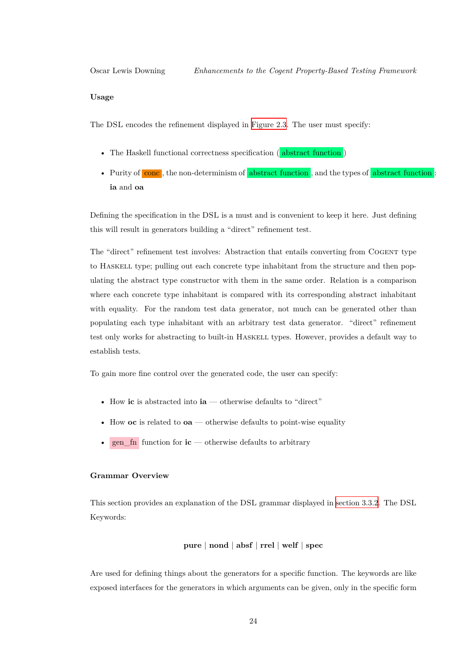#### **Usage**

The DSL encodes the refinement displayed in Figure 2.3. The user must specify:

- The Haskell functional correctness specification (abstract function)
- Purity of conc , the non-determinism of abstract function, and the types of abstract function : **ia** and **oa**

Defining the specification in the DSL is a must and is convenient to keep it here. Just defining this will result in generators building a "direct" refinement test.

The "direct" refinement test involves: Abstraction that entails converting from Cogent type to Haskell type; pulling out each concrete type inhabitant from the structure and then populating the abstract type constructor with them in the same order. Relation is a comparison where each concrete type inhabitant is compared with its corresponding abstract inhabitant with equality. For the random test data generator, not much can be generated other than populating each type inhabitant with an arbitrary test data generator. "direct" refinement test only works for abstracting to built-in Haskell types. However, provides a default way to establish tests.

To gain more fine control over the generated code, the user can specify:

- How **ic** is abstracted into **ia** otherwise defaults to "direct"
- How **oc** is related to **oa** otherwise defaults to point-wise equality
- gen  $\lim$  function for  $\mathbf{ic}$  otherwise defaults to arbitrary

#### **Grammar Overview**

This section provides an explanation of the DSL grammar displayed in section 3.3.2. The DSL Keywords:

### **pure** | **nond** | **absf** | **rrel** | **welf** | **spec**

Are used for defining things about the generators for a specific function. The keywords are like exposed interfaces for the generators in which arguments can be given, only in the specific form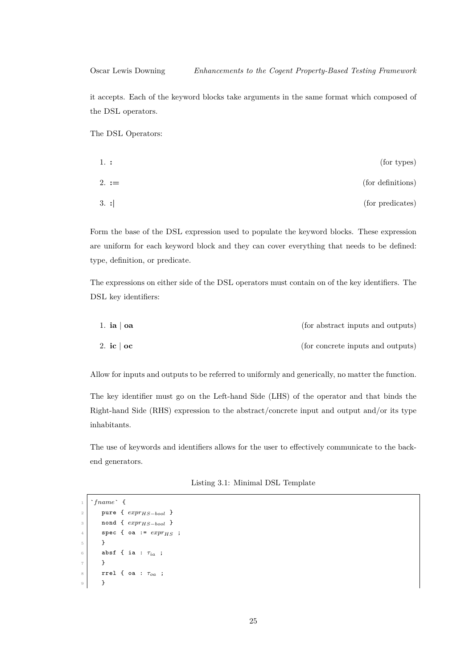it accepts. Each of the keyword blocks take arguments in the same format which composed of the DSL operators.

The DSL Operators:

| (for types)       | 1. :      |
|-------------------|-----------|
| (for definitions) | 2. $:=$   |
| (for predicates)  | $3. \; :$ |

Form the base of the DSL expression used to populate the keyword blocks. These expression are uniform for each keyword block and they can cover everything that needs to be defined: type, definition, or predicate.

The expressions on either side of the DSL operators must contain on of the key identifiers. The DSL key identifiers:

| 1. ia $\vert$ oa | (for abstract inputs and outputs) |
|------------------|-----------------------------------|
| 2. ic $\vert$ oc | (for concrete inputs and outputs) |

Allow for inputs and outputs to be referred to uniformly and generically, no matter the function.

The key identifier must go on the Left-hand Side (LHS) of the operator and that binds the Right-hand Side (RHS) expression to the abstract/concrete input and output and/or its type inhabitants.

<span id="page-29-0"></span>The use of keywords and identifiers allows for the user to effectively communicate to the backend generators.

| Listing 3.1: Minimal DSL Template |  |  |  |
|-----------------------------------|--|--|--|
|-----------------------------------|--|--|--|

```
1 `fname` {
2 pure { exprHS−bool }
3 nond { exprHS−bool }
4 spec { oa := exprHS ;
5 }
6 absf { ia : \tau_{ia} ;
7 }
8 rrel { oa : τoa ;
9 }
```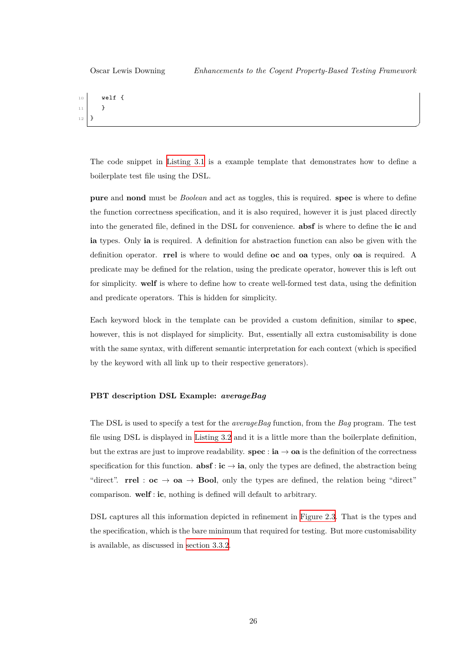✆

10 **welf** { 11 }  $12 \mid \}$ 

> The code snippet in Listing 3.1 is a example template that demonstrates how to define a boilerplate test file using the DSL.

> **pure** and **nond** must be *[Boolean](#page-29-0)* and act as toggles, this is required. **spec** is where to define the function correctness specification, and it is also required, however it is just placed directly into the generated file, defined in the DSL for convenience. **absf** is where to define the **ic** and **ia** types. Only **ia** is required. A definition for abstraction function can also be given with the definition operator. **rrel** is where to would define **oc** and **oa** types, only **oa** is required. A predicate may be defined for the relation, using the predicate operator, however this is left out for simplicity. **welf** is where to define how to create well-formed test data, using the definition and predicate operators. This is hidden for simplicity.

> Each keyword block in the template can be provided a custom definition, similar to **spec**, however, this is not displayed for simplicity. But, essentially all extra customisability is done with the same syntax, with different semantic interpretation for each context (which is specified by the keyword with all link up to their respective generators).

#### **PBT description DSL Example:** *averageBag*

The DSL is used to specify a test for the *averageBag* function, from the *Bag* program. The test file using DSL is displayed in Listing 3.2 and it is a little more than the boilerplate definition, but the extras are just to improve readability. **spec** : **ia**  $\rightarrow$  **oa** is the definition of the correctness specification for this function.  $\textbf{absf} : \textbf{ic} \to \textbf{ia}$ , only the types are defined, the abstraction being "direct". **rrel** :  $oc \rightarrow oa \rightarrow Bool$  $oc \rightarrow oa \rightarrow Bool$ , only the types are defined, the relation being "direct" comparison. **welf** : **ic**, nothing is defined will default to arbitrary.

DSL captures all this information depicted in refinement in Figure 2.3. That is the types and the specification, which is the bare minimum that required for testing. But more customisability is available, as discussed in section 3.3.2.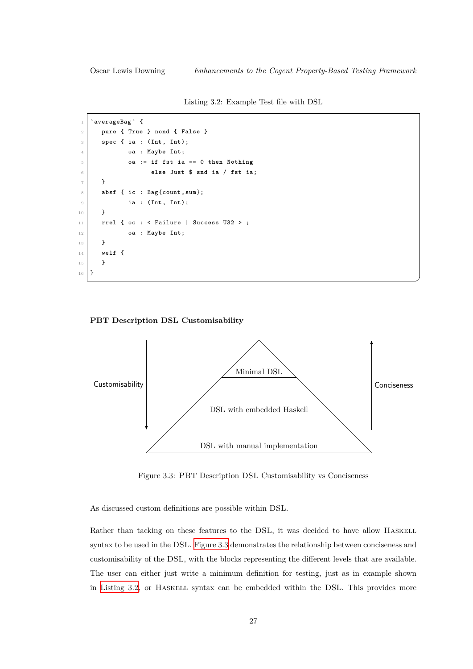✆

Listing 3.2: Example Test file with DSL

```
1 `averageBag ` {
2 pure { True } nond { False }
3 spec { ia : (Int, Int);
           4 oa : Maybe Int;
5 oa := if fst ia == 0 then Nothing
6 else Just $ snd ia / fst ia;
7 }
8 absf { ic : Bag{count,sum};
9 ia : (Int, Int);
10 \mid \mathcal{F}11 \vert rrel { oc : < Failure | Success U32 > ;
12 oa : Maybe Int;
13 }
14 welf {
15 }
16 }
```
#### **PBT Description DSL Customisability**



Figure 3.3: PBT Description DSL Customisability vs Conciseness

<span id="page-31-1"></span>As discussed custom definitions are possible within DSL.

Rather than tacking on these features to the DSL, it was decided to have allow HASKELL syntax to be used in the DSL. Figure 3.3 demonstrates the relationship between conciseness and customisability of the DSL, with the blocks representing the different levels that are available. The user can either just write a minimum definition for testing, just as in example shown in Listing 3.2, or Haskell [syntax can](#page-31-1) be embedded within the DSL. This provides more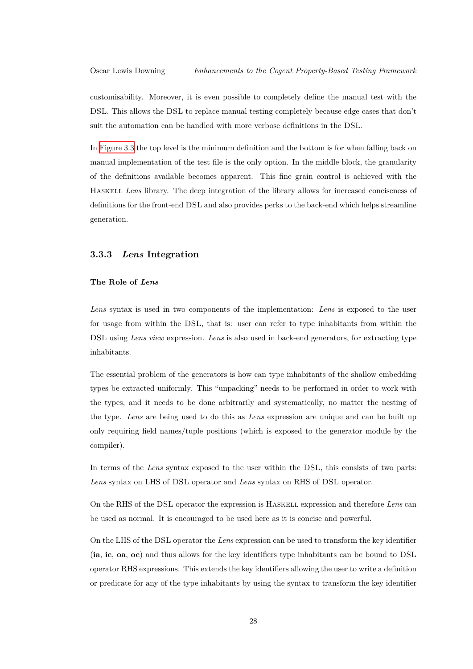customisability. Moreover, it is even possible to completely define the manual test with the DSL. This allows the DSL to replace manual testing completely because edge cases that don't suit the automation can be handled with more verbose definitions in the DSL.

In Figure 3.3 the top level is the minimum definition and the bottom is for when falling back on manual implementation of the test file is the only option. In the middle block, the granularity of the definitions available becomes apparent. This fine grain control is achieved with the H[askell](#page-31-1) *Lens* library. The deep integration of the library allows for increased conciseness of definitions for the front-end DSL and also provides perks to the back-end which helps streamline generation.

### **3.3.3** *Lens* **Integration**

### <span id="page-32-0"></span>**The Role of** *Lens*

<span id="page-32-1"></span>*Lens* syntax is used in two components of the implementation: *Lens* is exposed to the user for usage from within the DSL, that is: user can refer to type inhabitants from within the DSL using *Lens view* expression. *Lens* is also used in back-end generators, for extracting type inhabitants.

The essential problem of the generators is how can type inhabitants of the shallow embedding types be extracted uniformly. This "unpacking" needs to be performed in order to work with the types, and it needs to be done arbitrarily and systematically, no matter the nesting of the type. *Lens* are being used to do this as *Lens* expression are unique and can be built up only requiring field names/tuple positions (which is exposed to the generator module by the compiler).

In terms of the *Lens* syntax exposed to the user within the DSL, this consists of two parts: *Lens* syntax on LHS of DSL operator and *Lens* syntax on RHS of DSL operator.

On the RHS of the DSL operator the expression is Haskell expression and therefore *Lens* can be used as normal. It is encouraged to be used here as it is concise and powerful.

On the LHS of the DSL operator the *Lens* expression can be used to transform the key identifier (**ia**, **ic**, **oa**, **oc**) and thus allows for the key identifiers type inhabitants can be bound to DSL operator RHS expressions. This extends the key identifiers allowing the user to write a definition or predicate for any of the type inhabitants by using the syntax to transform the key identifier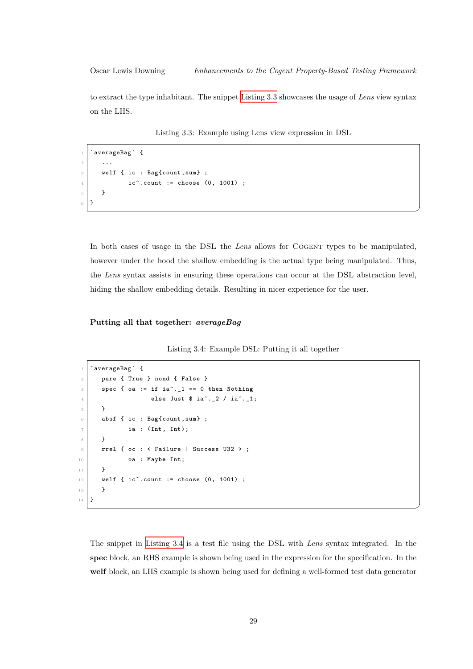✆

✆

to extract the type inhabitant. The snippet Listing 3.3 showcases the usage of *Lens* view syntax on the LHS.

Listing 3.3: Example usi[ng Lens vie](#page-33-0)w expression in DSL

```
1 `averageBag `{
2 ...
3 welf { ic : Bag{count,sum} ;
4 ic^.count := choose (0, 1001) ;
5 }
6 }
```
In both cases of usage in the DSL the *Lens* allows for COGENT types to be manipulated, however under the hood the shallow embedding is the actual type being manipulated. Thus, the *Lens* syntax assists in ensuring these operations can occur at the DSL abstraction level, hiding the shallow embedding details. Resulting in nicer experience for the user.

### **Putting all that together:** *averageBag*

```
Listing 3.4: Example DSL: Putting it all together
```

```
1 `averageBag ` {
2 pure { True } nond { False }
3 \mid spec { oa := if ia^._1 == 0 then Nothing
4 else Just $ ia^._2 / ia^._1;
5 }
6 absf { ic : Bag{count,sum} ;
           7 ia : (Int, Int);
8 }
9 rrel { oc : < Failure | Success U32 > ;
10 oa : Maybe Int;
11 }
12 welf { ic^.count := choose (0, 1001) ;
13 }
14 }
```
The snippet in Listing 3.4 is a test file using the DSL with *Lens* syntax integrated. In the **spec** block, an RHS example is shown being used in the expression for the specification. In the **welf** block, an LHS example is shown being used for defining a well-formed test data generator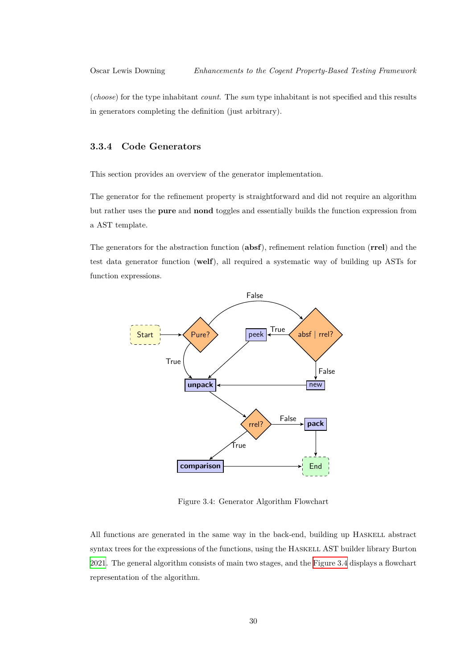(*choose*) for the type inhabitant *count*. The *sum* type inhabitant is not specified and this results in generators completing the definition (just arbitrary).

### **3.3.4 Code Generators**

<span id="page-34-0"></span>This section provides an overview of the generator implementation.

The generator for the refinement property is straightforward and did not require an algorithm but rather uses the **pure** and **nond** toggles and essentially builds the function expression from a AST template.

The generators for the abstraction function (**absf**), refinement relation function (**rrel**) and the test data generator function (**welf**), all required a systematic way of building up ASTs for function expressions.



Figure 3.4: Generator Algorithm Flowchart

All functions are generated in the same way in the back-end, building up Haskell abstract syntax trees for the expressions of the functions, using the Haskell AST builder library Burton 2021. The general algorithm consists of main two stages, and the Figure 3.4 displays a flowchart representation of the algorithm.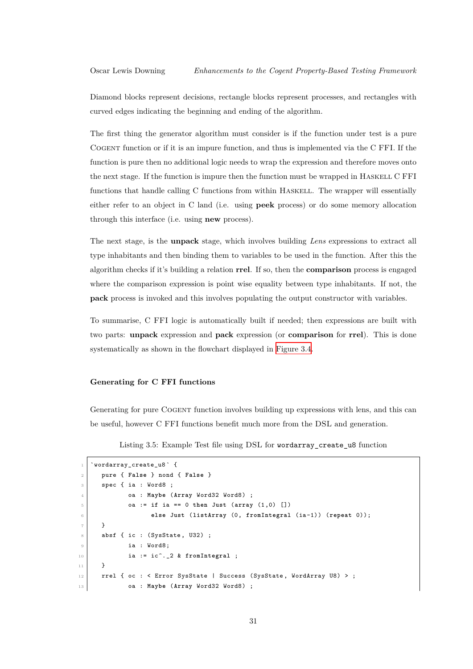Diamond blocks represent decisions, rectangle blocks represent processes, and rectangles with curved edges indicating the beginning and ending of the algorithm.

The first thing the generator algorithm must consider is if the function under test is a pure Cogent function or if it is an impure function, and thus is implemented via the C FFI. If the function is pure then no additional logic needs to wrap the expression and therefore moves onto the next stage. If the function is impure then the function must be wrapped in Haskell C FFI functions that handle calling C functions from within HASKELL. The wrapper will essentially either refer to an object in C land (i.e. using **peek** process) or do some memory allocation through this interface (i.e. using **new** process).

The next stage, is the **unpack** stage, which involves building *Lens* expressions to extract all type inhabitants and then binding them to variables to be used in the function. After this the algorithm checks if it's building a relation **rrel**. If so, then the **comparison** process is engaged where the comparison expression is point wise equality between type inhabitants. If not, the **pack** process is invoked and this involves populating the output constructor with variables.

To summarise, C FFI logic is automatically built if needed; then expressions are built with two parts: **unpack** expression and **pack** expression (or **comparison** for **rrel**). This is done systematically as shown in the flowchart displayed in Figure 3.4.

#### **Generating for C FFI functions**

Generating for pure COGENT function involves building up expressions with lens, and this can be useful, however C FFI functions benefit much more from the DSL and generation.

Listing 3.5: Example Test file using DSL for wordarray\_create\_u8 function

```
1 `wordarray_create_u8 ` {
2 pure { False } nond { False }
3 spec { ia : Word8 ;
           4 oa : Maybe (Array Word32 Word8) ;
           5 oa := if ia == 0 then Just (array (1,0) [])
6 else Just (listArray (0, fromIntegral (ia-1)) (repeat 0));
7 }
\vert absf { ic : (SysState, U32) ;
9 ia : Word8;
10 ia := ic^._2 & fromIntegral ;
11 }
12 rrel { oc : < Error SysState | Success (SysState, WordArray U8) > ;
13 oa : Maybe (Array Word32 Word8) ;
```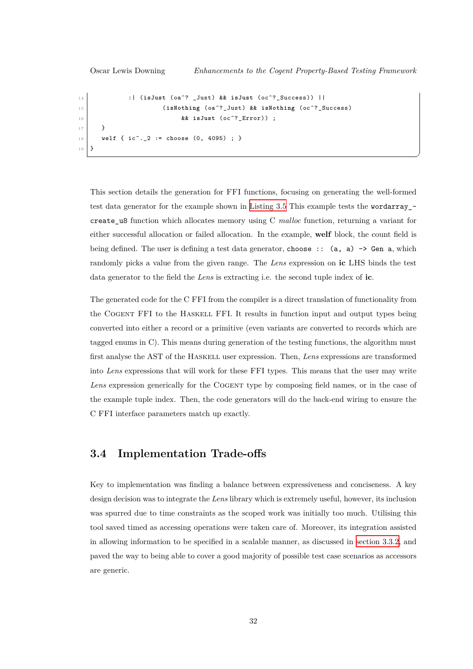✆

```
14 :| (isJust (oa^? _Just) && isJust (oc^?_Success)) ||
15 (isNothing (oa^?_Just) && isNothing (oc^?_Success)
16 8 & isJust (oc^?_Error)) ;
17 }
18 welf { ic^._2 := choose (0, 4095) ; }
19 }
```
This section details the generation for FFI functions, focusing on generating the well-formed test data generator for the example shown in Listing 3.5 This example tests the wordarray\_ create\_u8 function which allocates memory using C *malloc* function, returning a variant for either successful allocation or failed allocation. In the example, **welf** block, the count field is being defined. The user is defining a test data [generator,](#page-35-0) choose ::  $(a, a) \rightarrow Gen$ , which randomly picks a value from the given range. The *Lens* expression on **ic** LHS binds the test data generator to the field the *Lens* is extracting i.e. the second tuple index of **ic**.

The generated code for the C FFI from the compiler is a direct translation of functionality from the Cogent FFI to the Haskell FFI. It results in function input and output types being converted into either a record or a primitive (even variants are converted to records which are tagged enums in C). This means during generation of the testing functions, the algorithm must first analyse the AST of the Haskell user expression. Then, *Lens* expressions are transformed into *Lens* expressions that will work for these FFI types. This means that the user may write Lens expression generically for the COGENT type by composing field names, or in the case of the example tuple index. Then, the code generators will do the back-end wiring to ensure the C FFI interface parameters match up exactly.

### **3.4 Implementation Trade-offs**

<span id="page-36-0"></span>Key to implementation was finding a balance between expressiveness and conciseness. A key design decision was to integrate the *Lens* library which is extremely useful, however, its inclusion was spurred due to time constraints as the scoped work was initially too much. Utilising this tool saved timed as accessing operations were taken care of. Moreover, its integration assisted in allowing information to be specified in a scalable manner, as discussed in section 3.3.2, and paved the way to being able to cover a good majority of possible test case scenarios as accessors are generic.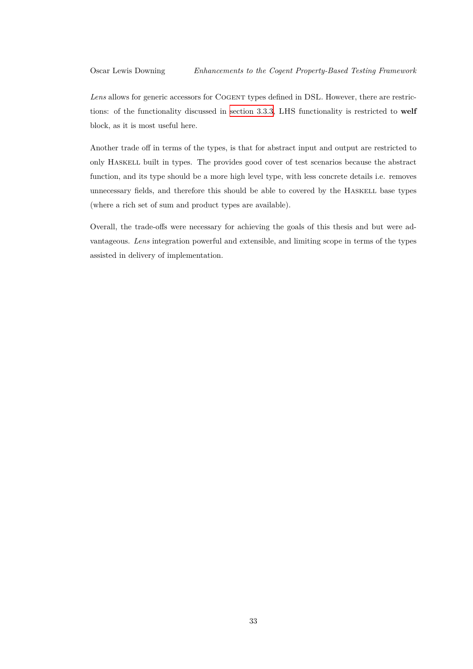Lens allows for generic accessors for COGENT types defined in DSL. However, there are restrictions: of the functionality discussed in section 3.3.3, LHS functionality is restricted to **welf** block, as it is most useful here.

Another trade off in terms of the types, [is that for ab](#page-32-1)stract input and output are restricted to only Haskell built in types. The provides good cover of test scenarios because the abstract function, and its type should be a more high level type, with less concrete details i.e. removes unnecessary fields, and therefore this should be able to covered by the Haskell base types (where a rich set of sum and product types are available).

Overall, the trade-offs were necessary for achieving the goals of this thesis and but were advantageous. *Lens* integration powerful and extensible, and limiting scope in terms of the types assisted in delivery of implementation.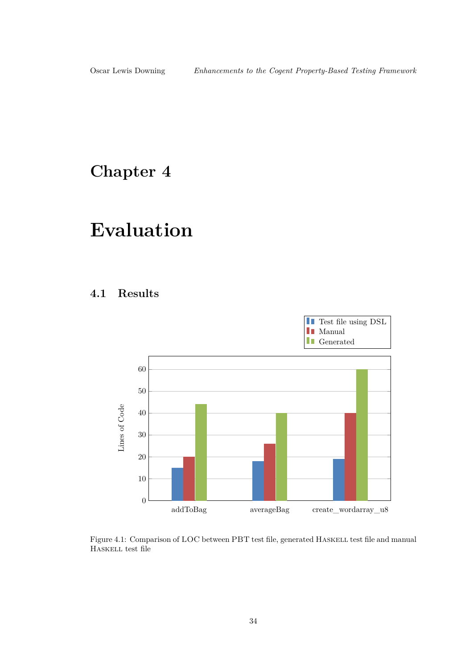## <span id="page-38-0"></span>**Chapter 4**

# **Evaluation**

### <span id="page-38-1"></span>**4.1 Results**



<span id="page-38-2"></span>Figure 4.1: Comparison of LOC between PBT test file, generated HASKELL test file and manual Haskell test file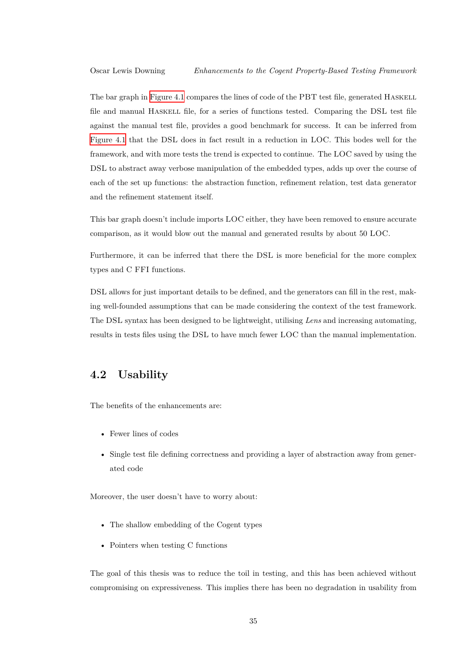The bar graph in Figure 4.1 compares the lines of code of the PBT test file, generated HASKELL file and manual HASKELL file, for a series of functions tested. Comparing the DSL test file against the manual test file, provides a good benchmark for success. It can be inferred from Figure 4.1 that the [DSL](#page-38-2) does in fact result in a reduction in LOC. This bodes well for the framework, and with more tests the trend is expected to continue. The LOC saved by using the DSL to abstract away verbose manipulation of the embedded types, adds up over the course of [each of the](#page-38-2) set up functions: the abstraction function, refinement relation, test data generator and the refinement statement itself.

This bar graph doesn't include imports LOC either, they have been removed to ensure accurate comparison, as it would blow out the manual and generated results by about 50 LOC.

Furthermore, it can be inferred that there the DSL is more beneficial for the more complex types and C FFI functions.

DSL allows for just important details to be defined, and the generators can fill in the rest, making well-founded assumptions that can be made considering the context of the test framework. The DSL syntax has been designed to be lightweight, utilising *Lens* and increasing automating, results in tests files using the DSL to have much fewer LOC than the manual implementation.

### **4.2 Usability**

<span id="page-39-0"></span>The benefits of the enhancements are:

- Fewer lines of codes
- Single test file defining correctness and providing a layer of abstraction away from generated code

Moreover, the user doesn't have to worry about:

- The shallow embedding of the Cogent types
- Pointers when testing C functions

The goal of this thesis was to reduce the toil in testing, and this has been achieved without compromising on expressiveness. This implies there has been no degradation in usability from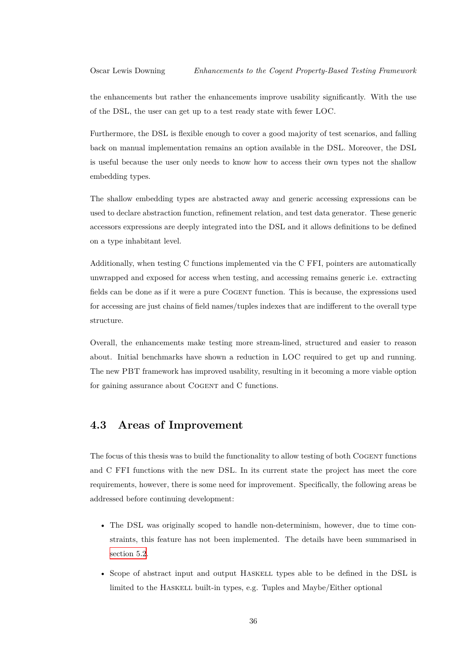the enhancements but rather the enhancements improve usability significantly. With the use of the DSL, the user can get up to a test ready state with fewer LOC.

Furthermore, the DSL is flexible enough to cover a good majority of test scenarios, and falling back on manual implementation remains an option available in the DSL. Moreover, the DSL is useful because the user only needs to know how to access their own types not the shallow embedding types.

The shallow embedding types are abstracted away and generic accessing expressions can be used to declare abstraction function, refinement relation, and test data generator. These generic accessors expressions are deeply integrated into the DSL and it allows definitions to be defined on a type inhabitant level.

Additionally, when testing C functions implemented via the C FFI, pointers are automatically unwrapped and exposed for access when testing, and accessing remains generic i.e. extracting fields can be done as if it were a pure Cogent function. This is because, the expressions used for accessing are just chains of field names/tuples indexes that are indifferent to the overall type structure.

Overall, the enhancements make testing more stream-lined, structured and easier to reason about. Initial benchmarks have shown a reduction in LOC required to get up and running. The new PBT framework has improved usability, resulting in it becoming a more viable option for gaining assurance about COGENT and C functions.

### **4.3 Areas of Improvement**

<span id="page-40-0"></span>The focus of this thesis was to build the functionality to allow testing of both COGENT functions and C FFI functions with the new DSL. In its current state the project has meet the core requirements, however, there is some need for improvement. Specifically, the following areas be addressed before continuing development:

- The DSL was originally scoped to handle non-determinism, however, due to time constraints, this feature has not been implemented. The details have been summarised in section 5.2.
- Scope of abstract input and output Haskell types able to be defined in the DSL is [limited to](#page-42-1) the HASKELL built-in types, e.g. Tuples and Maybe/Either optional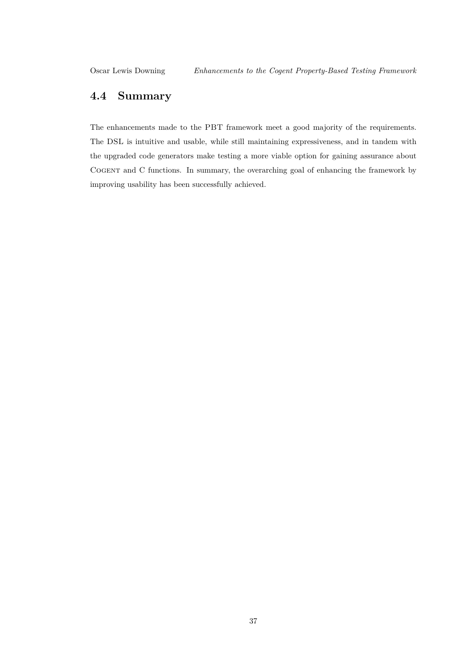### <span id="page-41-0"></span>**4.4 Summary**

The enhancements made to the PBT framework meet a good majority of the requirements. The DSL is intuitive and usable, while still maintaining expressiveness, and in tandem with the upgraded code generators make testing a more viable option for gaining assurance about Cogent and C functions. In summary, the overarching goal of enhancing the framework by improving usability has been successfully achieved.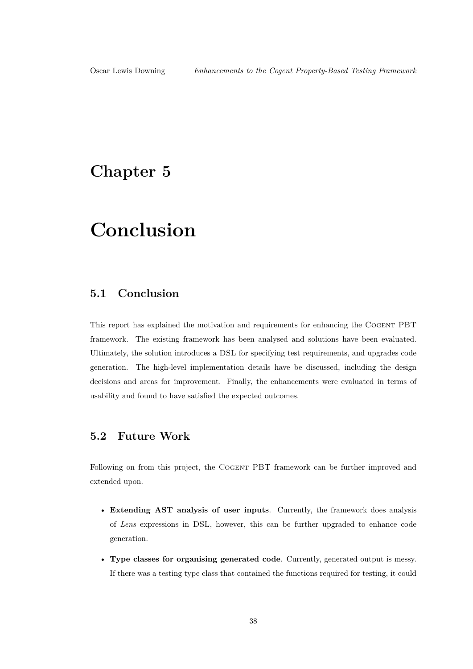## <span id="page-42-0"></span>**Chapter 5**

## **Conclusion**

### **5.1 Conclusion**

This report has explained the motivation and requirements for enhancing the Cogent PBT framework. The existing framework has been analysed and solutions have been evaluated. Ultimately, the solution introduces a DSL for specifying test requirements, and upgrades code generation. The high-level implementation details have be discussed, including the design decisions and areas for improvement. Finally, the enhancements were evaluated in terms of usability and found to have satisfied the expected outcomes.

### <span id="page-42-1"></span>**5.2 Future Work**

Following on from this project, the Cogent PBT framework can be further improved and extended upon.

- **Extending AST analysis of user inputs**. Currently, the framework does analysis of *Lens* expressions in DSL, however, this can be further upgraded to enhance code generation.
- **Type classes for organising generated code**. Currently, generated output is messy. If there was a testing type class that contained the functions required for testing, it could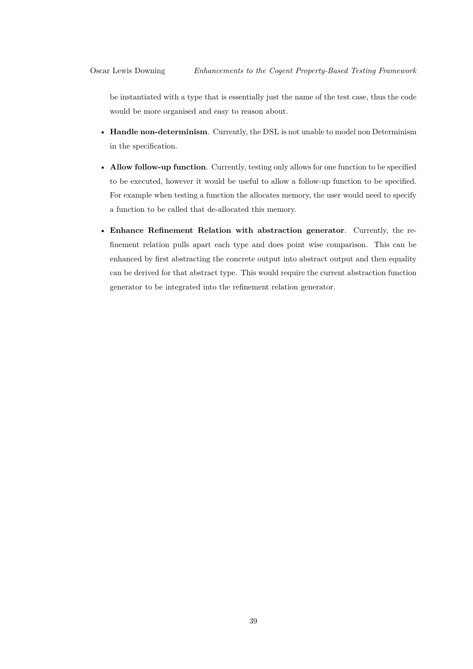be instantiated with a type that is essentially just the name of the test case, thus the code would be more organised and easy to reason about.

- **Handle non-determinism**. Currently, the DSL is not unable to model non Determinism in the specification.
- **Allow follow-up function**. Currently, testing only allows for one function to be specified to be executed, however it would be useful to allow a follow-up function to be specified. For example when testing a function the allocates memory, the user would need to specify a function to be called that de-allocated this memory.
- **Enhance Refinement Relation with abstraction generator**. Currently, the refinement relation pulls apart each type and does point wise comparison. This can be enhanced by first abstracting the concrete output into abstract output and then equality can be derived for that abstract type. This would require the current abstraction function generator to be integrated into the refinement relation generator.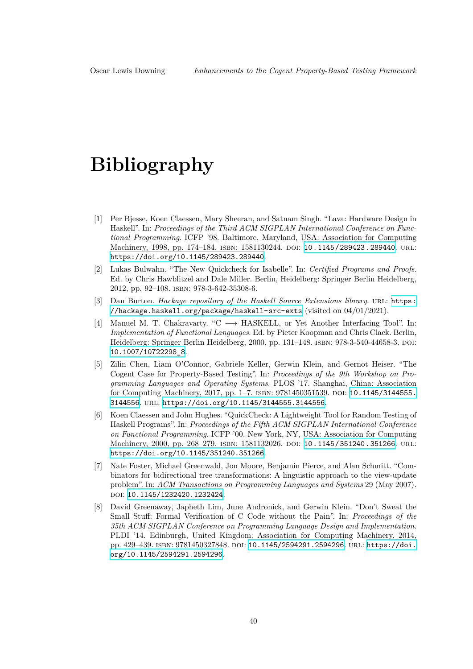## **Bibliography**

- [1] Per Bjesse, Koen Claessen, Mary Sheeran, and Satnam Singh. "Lava: Hardware Design in Haskell". In: *Proceedings of the Third ACM SIGPLAN International Conference on Functional Programming*. ICFP '98. Baltimore, Maryland, USA: Association for Computing Machinery, 1998, pp. 174-184. ISBN: 1581130244. DOI: 10.1145/289423.289440. URL: https://doi.org/10.1145/289423.289440.
- [2] Lukas Bulwahn. "The New Quickcheck for Isabelle". In: *Certified Programs and Proofs*. Ed. by Chris Hawblitzel and Dale Miller. Berlin, Heidel[berg: Springer Berlin Heide](https://doi.org/10.1145/289423.289440)lberg, 2012, pp. 92–108. isbn: 978-3-642-35308-6.
- [3] Dan Burton. *[Hackage repository of the Hask](https://doi.org/10.1145/289423.289440)ell Source Extensions library*. url: https: //hackage.haskell.org/package/haskell-src-exts (visited on 04/01/2021).
- [4] Manuel M. T. Chakravarty. "C *−→* HASKELL, or Yet Another Interfacing Tool". In: *Implementation of Functional Languages*. Ed. by Pieter Koopman and Chris Clack. Berlin, Heidelberg: Springer Berlin Heidelberg, 2000, pp. 131–148. isbn: 978-3-540-44658-3. [doi](https://hackage.haskell.org/package/haskell-src-exts): [10.1007/10722298\\_8](https://hackage.haskell.org/package/haskell-src-exts).
- <span id="page-44-2"></span>[5] Zilin Chen, Liam O'Connor, Gabriele Keller, Gerwin Klein, and Gernot Heiser. "The Cogent Case for Property-Based Testing". In: *Proceedings of the 9th Workshop on Programming Languages and Operating Systems*. PLOS '17. Shanghai, China: Association [for Computing Machin](https://doi.org/10.1007/10722298_8)ery, 2017, pp. 1–7. isbn: 9781450351539. doi: 10.1145/3144555. 3144556. url: https://doi.org/10.1145/3144555.3144556.
- <span id="page-44-1"></span>[6] Koen Claessen and John Hughes. "QuickCheck: A Lightweight Tool for Random Testing of Haskell Programs". In: *Proceedings of the Fifth ACM SIGPLAN International Conference on Functional Programming*. ICFP '00. New York, NY, USA: Associ[ation for Computing](https://doi.org/10.1145/3144555.3144556) [Machine](https://doi.org/10.1145/3144555.3144556)ry, 20[00, pp. 268–279.](https://doi.org/10.1145/3144555.3144556) ISBN: 1581132026. DOI: 10.1145/351240.351266. URL: https://doi.org/10.1145/351240.351266.
- [7] Nate Foster, Michael Greenwald, Jon Moore, Benjamin Pierce, and Alan Schmitt. "Combinators for bidirectional tree transformations: A linguistic approach to the view-update problem". In: *ACM Transactions on Programming Langu[ages and Systems](https://doi.org/10.1145/351240.351266)* 29 (May 2007). doi: [10.1145/1232420.1232424](https://doi.org/10.1145/351240.351266).
- <span id="page-44-0"></span>[8] David Greenaway, Japheth Lim, June Andronick, and Gerwin Klein. "Don't Sweat the Small Stuff: Formal Verification of C Code without the Pain". In: *Proceedings of the 35th ACM SIGPLAN Conference on Programming Language Design and Implementation*. PLD[I '14. Edinburgh, United K](https://doi.org/10.1145/1232420.1232424)ingdom: Association for Computing Machinery, 2014, pp. 429–439. isbn: 9781450327848. doi: 10.1145/2594291.2594296. url: https://doi. org/10.1145/2594291.2594296.